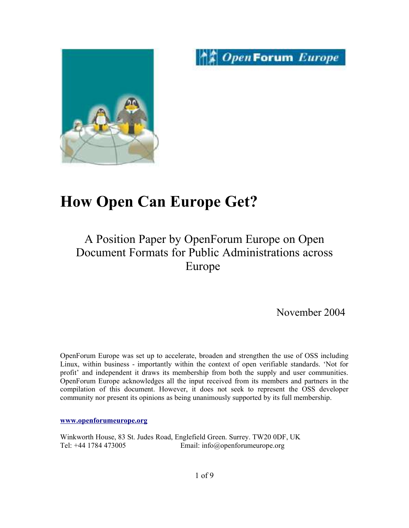



# **How Open Can Europe Get?**

## A Position Paper by OpenForum Europe on Open Document Formats for Public Administrations across Europe

November 2004

OpenForum Europe was set up to accelerate, broaden and strengthen the use of OSS including Linux, within business - importantly within the context of open verifiable standards. 'Not for profit' and independent it draws its membership from both the supply and user communities. OpenForum Europe acknowledges all the input received from its members and partners in the compilation of this document. However, it does not seek to represent the OSS developer community nor present its opinions as being unanimously supported by its full membership.

**www.openforumeurope.org**

Winkworth House, 83 St. Judes Road, Englefield Green. Surrey. TW20 0DF, UK Tel: +44 1784 473005 Email: info@openforumeurope.org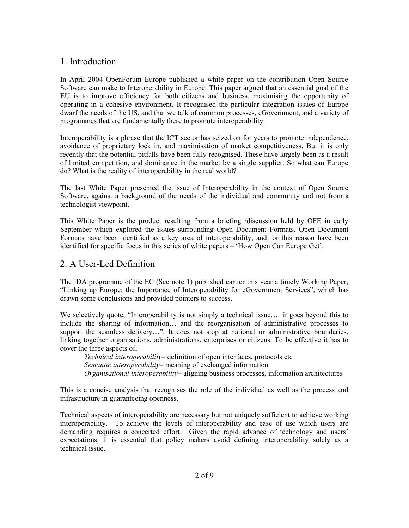## 1. Introduction

In April 2004 OpenForum Europe published a white paper on the contribution Open Source Software can make to Interoperability in Europe. This paper argued that an essential goal of the EU is to improve efficiency for both citizens and business, maximising the opportunity of operating in a cohesive environment. It recognised the particular integration issues of Europe dwarf the needs of the US, and that we talk of common processes, eGovernment, and a variety of programmes that are fundamentally there to promote interoperability.

Interoperability is a phrase that the ICT sector has seized on for years to promote independence, avoidance of proprietary lock in, and maximisation of market competitiveness. But it is only recently that the potential pitfalls have been fully recognised. These have largely been as a result of limited competition, and dominance in the market by a single supplier. So what can Europe do? What is the reality of interoperability in the real world?

The last White Paper presented the issue of Interoperability in the context of Open Source Software, against a background of the needs of the individual and community and not from a technologist viewpoint.

This White Paper is the product resulting from a briefing /discussion held by OFE in early September which explored the issues surrounding Open Document Formats. Open Document Formats have been identified as a key area of interoperability, and for this reason have been identified for specific focus in this series of white papers – 'How Open Can Europe Get'.

## 2. A User-Led Definition

The IDA programme of the EC (See note 1) published earlier this year a timely Working Paper, "Linking up Europe: the Importance of Interoperability for eGovernment Services", which has drawn some conclusions and provided pointers to success.

We selectively quote, "Interoperability is not simply a technical issue... it goes beyond this to include the sharing of information… and the reorganisation of administrative processes to support the seamless delivery...". It does not stop at national or administrative boundaries, linking together organisations, administrations, enterprises or citizens. To be effective it has to cover the three aspects of,

*Technical interoperability*– definition of open interfaces, protocols etc *Semantic interoperability*– meaning of exchanged information *Organisational interoperability*– aligning business processes, information architectures

This is a concise analysis that recognises the role of the individual as well as the process and infrastructure in guaranteeing openness.

Technical aspects of interoperability are necessary but not uniquely sufficient to achieve working interoperability. To achieve the levels of interoperability and ease of use which users are demanding requires a concerted effort. Given the rapid advance of technology and users' expectations, it is essential that policy makers avoid defining interoperability solely as a technical issue.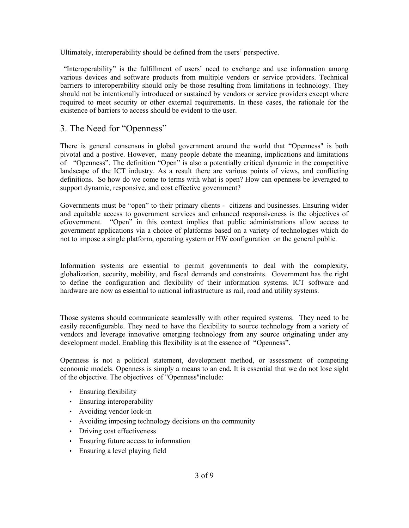Ultimately, interoperability should be defined from the users' perspective.

"Interoperability" is the fulfillment of users' need to exchange and use information among various devices and software products from multiple vendors or service providers. Technical barriers to interoperability should only be those resulting from limitations in technology. They should not be intentionally introduced or sustained by vendors or service providers except where required to meet security or other external requirements. In these cases, the rationale for the existence of barriers to access should be evident to the user.

### 3. The Need for "Openness"

There is general consensus in global government around the world that "Openness" is both pivotal and a postive. However, many people debate the meaning, implications and limitations of "Openness". The definition "Open" is also a potentially critical dynamic in the competitive landscape of the ICT industry. As a result there are various points of views, and conflicting definitions. So how do we come to terms with what is open? How can openness be leveraged to support dynamic, responsive, and cost effective government?

Governments must be "open" to their primary clients - citizens and businesses. Ensuring wider and equitable access to government services and enhanced responsiveness is the objectives of eGovernment. "Open" in this context implies that public administrations allow access to government applications via a choice of platforms based on a variety of technologies which do not to impose a single platform, operating system or HW configuration on the general public*.*

Information systems are essential to permit governments to deal with the complexity, globalization, security, mobility, and fiscal demands and constraints. Government has the right to define the configuration and flexibility of their information systems. ICT software and hardware are now as essential to national infrastructure as rail, road and utility systems.

Those systems should communicate seamlesslly with other required systems. They need to be easily reconfigurable. They need to have the flexibility to source technology from a variety of vendors and leverage innovative emerging technology from any source originating under any development model. Enabling this flexibility is at the essence of "Openness".

Openness is not a political statement, development method, or assessment of competing economic models. Openness is simply a means to an end*.* It is essential that we do not lose sight of the objective. The objectives of "Openness"include:

- Ensuring flexibility
- Ensuring interoperability
- Avoiding vendor lock-in
- Avoiding imposing technology decisions on the community
- Driving cost effectiveness
- Ensuring future access to information
- Ensuring a level playing field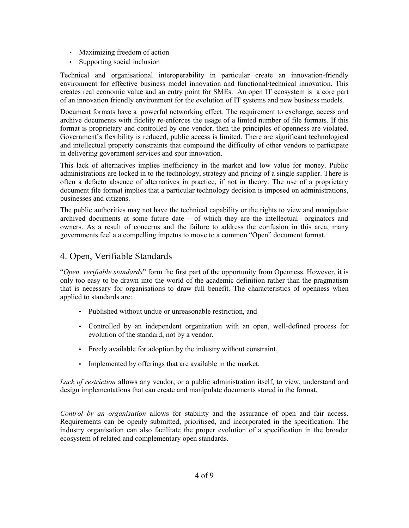- Maximizing freedom of action
- Supporting social inclusion

Technical and organisational interoperability in particular create an innovation-friendly environment for effective business model innovation and functional/technical innovation. This creates real economic value and an entry point for SMEs. An open IT ecosystem is a core part of an innovation friendly environment for the evolution of IT systems and new business models.

Document formats have a powerful networking effect. The requirement to exchange, access and archive documents with fidelity re-enforces the usage of a limted number of file formats. If this format is proprietary and controlled by one vendor, then the principles of openness are violated. Government's flexibility is reduced, public access is limited. There are significant technological and intellectual property constraints that compound the difficulty of other vendors to participate in delivering government services and spur innovation.

This lack of alternatives implies inefficiency in the market and low value for money. Public administrations are locked in to the technology, strategy and pricing of a single supplier. There is often a defacto absence of alternatives in practice, if not in theory. The use of a proprietary document file format implies that a particular technology decision is imposed on administrations, businesses and citizens.

The public authorities may not have the technical capability or the rights to view and manipulate archived documents at some future date – of which they are the intellectual orginators and owners. As a result of concerns and the failure to address the confusion in this area, many governments feel a a compelling impetus to move to a common "Open" document format.

## 4. Open, Verifiable Standards

"*Open, verifiable standards*" form the first part of the opportunity from Openness. However, it is only too easy to be drawn into the world of the academic definition rather than the pragmatism that is necessary for organisations to draw full benefit. The characteristics of openness when applied to standards are:

- Published without undue or unreasonable restriction, and
- Controlled by an independent organization with an open, well-defined process for evolution of the standard, not by a vendor.
- Freely available for adoption by the industry without constraint,
- Implemented by offerings that are available in the market.

*Lack of restriction* allows any vendor, or a public administration itself, to view, understand and design implementations that can create and manipulate documents stored in the format.

*Control by an organisation* allows for stability and the assurance of open and fair access. Requirements can be openly submitted, prioritised, and incorporated in the specification. The industry organisation can also facilitate the proper evolution of a specification in the broader ecosystem of related and complementary open standards.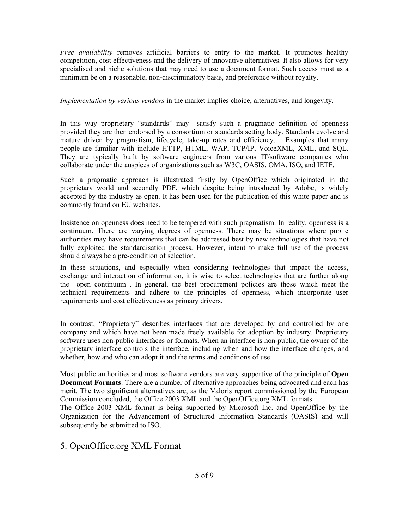*Free availability* removes artificial barriers to entry to the market. It promotes healthy competition, cost effectiveness and the delivery of innovative alternatives. It also allows for very specialised and niche solutions that may need to use a document format. Such access must as a minimum be on a reasonable, non-discriminatory basis, and preference without royalty.

#### *Implementation by various vendors* in the market implies choice, alternatives, and longevity.

In this way proprietary "standards" may satisfy such a pragmatic definition of openness provided they are then endorsed by a consortium or standards setting body. Standards evolve and mature driven by pragmatism, lifecycle, take-up rates and efficiency. Examples that many people are familiar with include HTTP, HTML, WAP, TCP/IP, VoiceXML, XML, and SQL. They are typically built by software engineers from various IT/software companies who collaborate under the auspices of organizations such as W3C, OASIS, OMA, ISO, and IETF.

Such a pragmatic approach is illustrated firstly by OpenOffice which originated in the proprietary world and secondly PDF, which despite being introduced by Adobe, is widely accepted by the industry as open. It has been used for the publication of this white paper and is commonly found on EU websites.

Insistence on openness does need to be tempered with such pragmatism. In reality, openness is a continuum. There are varying degrees of openness. There may be situations where public authorities may have requirements that can be addressed best by new technologies that have not fully exploited the standardisation process. However, intent to make full use of the process should always be a pre-condition of selection.

In these situations, and especially when considering technologies that impact the access, exchange and interaction of information, it is wise to select technologies that are further along the open continuum . In general, the best procurement policies are those which meet the technical requirements and adhere to the principles of openness, which incorporate user requirements and cost effectiveness as primary drivers.

In contrast, "Proprietary" describes interfaces that are developed by and controlled by one company and which have not been made freely available for adoption by industry. Proprietary software uses non-public interfaces or formats. When an interface is non-public, the owner of the proprietary interface controls the interface, including when and how the interface changes, and whether, how and who can adopt it and the terms and conditions of use.

Most public authorities and most software vendors are very supportive of the principle of **Open Document Formats**. There are a number of alternative approaches being advocated and each has merit. The two significant alternatives are, as the Valoris report commissioned by the European Commission concluded, the Office 2003 XML and the OpenOffice.org XML formats.

The Office 2003 XML format is being supported by Microsoft Inc. and OpenOffice by the Organization for the Advancement of Structured Information Standards (OASIS) and will subsequently be submitted to ISO.

## 5. OpenOffice.org XML Format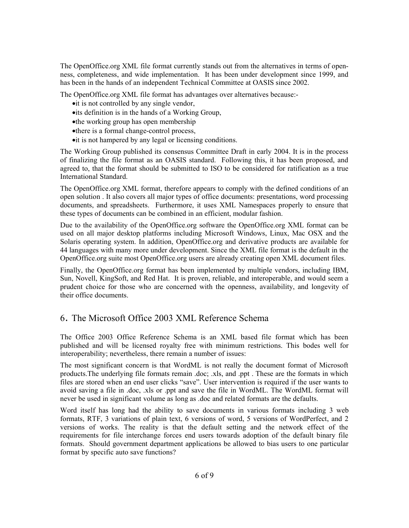The OpenOffice.org XML file format currently stands out from the alternatives in terms of openness, completeness, and wide implementation. It has been under development since 1999, and has been in the hands of an independent Technical Committee at OASIS since 2002.

The OpenOffice.org XML file format has advantages over alternatives because:-

- it is not controlled by any single vendor,
- ·its definition is in the hands of a Working Group,
- ·the working group has open membership
- ·there is a formal change-control process,
- ·it is not hampered by any legal or licensing conditions.

The Working Group published its consensus Committee Draft in early 2004. It is in the process of finalizing the file format as an OASIS standard. Following this, it has been proposed, and agreed to, that the format should be submitted to ISO to be considered for ratification as a true International Standard.

The OpenOffice.org XML format, therefore appears to comply with the defined conditions of an open solution . It also covers all major types of office documents: presentations, word processing documents, and spreadsheets. Furthermore, it uses XML Namespaces properly to ensure that these types of documents can be combined in an efficient, modular fashion.

Due to the availability of the OpenOffice.org software the OpenOffice.org XML format can be used on all major desktop platforms including Microsoft Windows, Linux, Mac OSX and the Solaris operating system. In addition, OpenOffice.org and derivative products are available for 44 languages with many more under development. Since the XML file format is the default in the OpenOffice.org suite most OpenOffice.org users are already creating open XML document files.

Finally, the OpenOffice.org format has been implemented by multiple vendors, including IBM, Sun, Novell, KingSoft, and Red Hat. It is proven, reliable, and interoperable, and would seem a prudent choice for those who are concerned with the openness, availability, and longevity of their office documents.

## 6. The Microsoft Office 2003 XML Reference Schema

The Office 2003 Office Reference Schema is an XML based file format which has been published and will be licensed royalty free with minimum restrictions. This bodes well for interoperability; nevertheless, there remain a number of issues:

The most significant concern is that WordML is not really the document format of Microsoft products.The underlying file formats remain .doc; .xls, and .ppt . These are the formats in which files are stored when an end user clicks "save". User intervention is required if the user wants to avoid saving a file in .doc, .xls or .ppt and save the file in WordML. The WordML format will never be used in significant volume as long as .doc and related formats are the defaults.

Word itself has long had the ability to save documents in various formats including 3 web formats, RTF, 3 variations of plain text, 6 versions of word, 5 versions of WordPerfect, and 2 versions of works. The reality is that the default setting and the network effect of the requirements for file interchange forces end users towards adoption of the default binary file formats. Should government department applications be allowed to bias users to one particular format by specific auto save functions?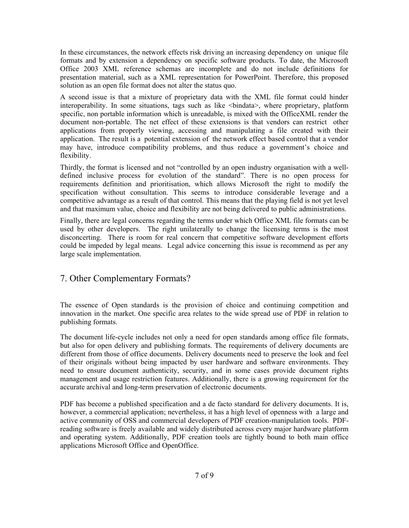In these circumstances, the network effects risk driving an increasing dependency on unique file formats and by extension a dependency on specific software products. To date, the Microsoft Office 2003 XML reference schemas are incomplete and do not include definitions for presentation material, such as a XML representation for PowerPoint. Therefore, this proposed solution as an open file format does not alter the status quo.

A second issue is that a mixture of proprietary data with the XML file format could hinder interoperability. In some situations, tags such as like  $\leq$ bindata $\geq$ , where proprietary, platform specific, non portable information which is unreadable, is mixed with the OfficeXML render the document non-portable. The net effect of these extensions is that vendors can restrict other applications from properly viewing, accessing and manipulating a file created with their application. The result is a potential extension of the network effect based control that a vendor may have, introduce compatibility problems, and thus reduce a government's choice and flexibility.

Thirdly, the format is licensed and not "controlled by an open industry organisation with a welldefined inclusive process for evolution of the standard". There is no open process for requirements definition and prioritisation, which allows Microsoft the right to modify the specification without consultation. This seems to introduce considerable leverage and a competitive advantage as a result of that control. This means that the playing field is not yet level and that maximum value, choice and flexibility are not being delivered to public administrations.

Finally, there are legal concerns regarding the terms under which Office XML file formats can be used by other developers. The right unilaterally to change the licensing terms is the most disconcerting. There is room for real concern that competitive software development efforts could be impeded by legal means. Legal advice concerning this issue is recommend as per any large scale implementation.

## 7. Other Complementary Formats?

The essence of Open standards is the provision of choice and continuing competition and innovation in the market. One specific area relates to the wide spread use of PDF in relation to publishing formats.

The document life-cycle includes not only a need for open standards among office file formats, but also for open delivery and publishing formats. The requirements of delivery documents are different from those of office documents. Delivery documents need to preserve the look and feel of their originals without being impacted by user hardware and software environments. They need to ensure document authenticity, security, and in some cases provide document rights management and usage restriction features. Additionally, there is a growing requirement for the accurate archival and long-term preservation of electronic documents.

PDF has become a published specification and a de facto standard for delivery documents. It is, however, a commercial application; nevertheless, it has a high level of openness with a large and active community of OSS and commercial developers of PDF creation-manipulation tools. PDFreading software is freely available and widely distributed across every major hardware platform and operating system. Additionally, PDF creation tools are tightly bound to both main office applications Microsoft Office and OpenOffice.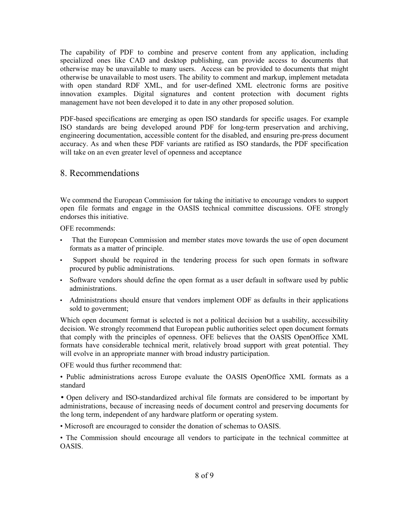The capability of PDF to combine and preserve content from any application, including specialized ones like CAD and desktop publishing, can provide access to documents that otherwise may be unavailable to many users. Access can be provided to documents that might otherwise be unavailable to most users. The ability to comment and markup, implement metadata with open standard RDF XML, and for user-defined XML electronic forms are positive innovation examples. Digital signatures and content protection with document rights management have not been developed it to date in any other proposed solution.

PDF-based specifications are emerging as open ISO standards for specific usages. For example ISO standards are being developed around PDF for long-term preservation and archiving, engineering documentation, accessible content for the disabled, and ensuring pre-press document accuracy. As and when these PDF variants are ratified as ISO standards, the PDF specification will take on an even greater level of openness and acceptance

## 8. Recommendations

We commend the European Commission for taking the initiative to encourage vendors to support open file formats and engage in the OASIS technical committee discussions. OFE strongly endorses this initiative.

OFE recommends:

- That the European Commission and member states move towards the use of open document formats as a matter of principle.
- Support should be required in the tendering process for such open formats in software procured by public administrations.
- Software vendors should define the open format as a user default in software used by public administrations.
- Administrations should ensure that vendors implement ODF as defaults in their applications sold to government;

Which open document format is selected is not a political decision but a usability, accessibility decision. We strongly recommend that European public authorities select open document formats that comply with the principles of openness. OFE believes that the OASIS OpenOffice XML formats have considerable technical merit, relatively broad support with great potential. They will evolve in an appropriate manner with broad industry participation.

OFE would thus further recommend that:

• Public administrations across Europe evaluate the OASIS OpenOffice XML formats as a standard

• Open delivery and ISO-standardized archival file formats are considered to be important by administrations, because of increasing needs of document control and preserving documents for the long term, independent of any hardware platform or operating system.

• Microsoft are encouraged to consider the donation of schemas to OASIS.

• The Commission should encourage all vendors to participate in the technical committee at **OASIS**